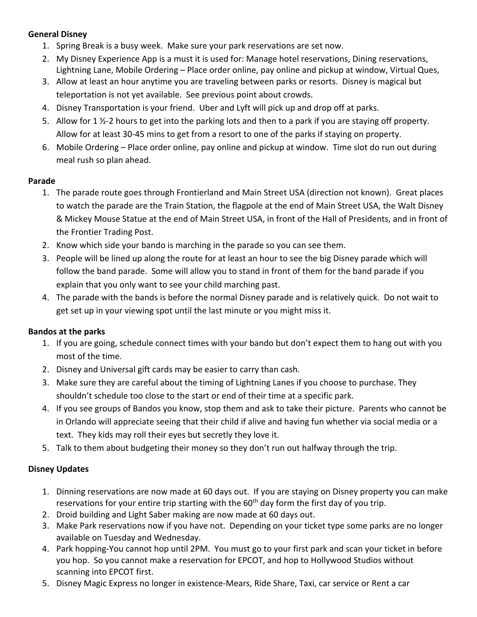# **General Disney**

- 1. Spring Break is a busy week. Make sure your park reservations are set now.
- 2. My Disney Experience App is a must it is used for: Manage hotel reservations, Dining reservations, Lightning Lane, Mobile Ordering – Place order online, pay online and pickup at window, Virtual Ques,
- 3. Allow at least an hour anytime you are traveling between parks or resorts. Disney is magical but teleportation is not yet available. See previous point about crowds.
- 4. Disney Transportation is your friend. Uber and Lyft will pick up and drop off at parks.
- 5. Allow for 1  $\frac{1}{2}$ -2 hours to get into the parking lots and then to a park if you are staying off property. Allow for at least 30-45 mins to get from a resort to one of the parks if staying on property.
- 6. Mobile Ordering Place order online, pay online and pickup at window. Time slot do run out during meal rush so plan ahead.

#### **Parade**

- 1. The parade route goes through Frontierland and Main Street USA (direction not known). Great places to watch the parade are the Train Station, the flagpole at the end of Main Street USA, the Walt Disney & Mickey Mouse Statue at the end of Main Street USA, in front of the Hall of Presidents, and in front of the Frontier Trading Post.
- 2. Know which side your bando is marching in the parade so you can see them.
- 3. People will be lined up along the route for at least an hour to see the big Disney parade which will follow the band parade. Some will allow you to stand in front of them for the band parade if you explain that you only want to see your child marching past.
- 4. The parade with the bands is before the normal Disney parade and is relatively quick. Do not wait to get set up in your viewing spot until the last minute or you might miss it.

### **Bandos at the parks**

- 1. If you are going, schedule connect times with your bando but don't expect them to hang out with you most of the time.
- 2. Disney and Universal gift cards may be easier to carry than cash.
- 3. Make sure they are careful about the timing of Lightning Lanes if you choose to purchase. They shouldn't schedule too close to the start or end of their time at a specific park.
- 4. If you see groups of Bandos you know, stop them and ask to take their picture. Parents who cannot be in Orlando will appreciate seeing that their child if alive and having fun whether via social media or a text. They kids may roll their eyes but secretly they love it.
- 5. Talk to them about budgeting their money so they don't run out halfway through the trip.

### **Disney Updates**

- 1. Dinning reservations are now made at 60 days out. If you are staying on Disney property you can make reservations for your entire trip starting with the  $60<sup>th</sup>$  day form the first day of you trip.
- 2. Droid building and Light Saber making are now made at 60 days out.
- 3. Make Park reservations now if you have not. Depending on your ticket type some parks are no longer available on Tuesday and Wednesday.
- 4. Park hopping-You cannot hop until 2PM. You must go to your first park and scan your ticket in before you hop. So you cannot make a reservation for EPCOT, and hop to Hollywood Studios without scanning into EPCOT first.
- 5. Disney Magic Express no longer in existence-Mears, Ride Share, Taxi, car service or Rent a car